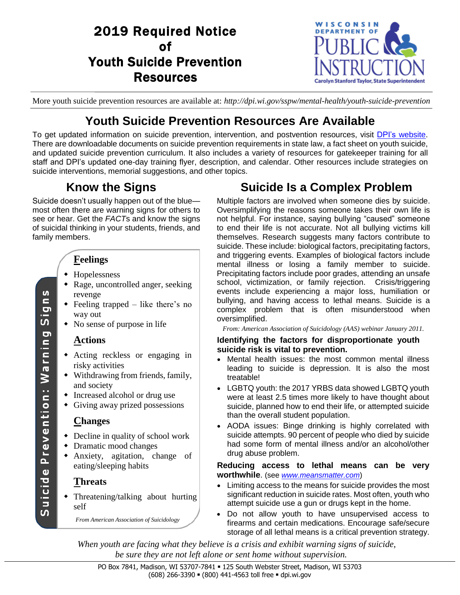# 2019 Required Notice of Youth Suicide Prevention Resources



More youth suicide prevention resources are available at: *http://dpi.wi.gov/sspw/mental-health/youth-suicide-prevention*

## **Youth Suicide Prevention Resources Are Available**

To get updated information on suicide prevention, intervention, and postvention resources, visit DPI's [website.](https://dpi.wi.gov/sspw/mental-health/youth-suicide-prevention) There are downloadable documents on suicide prevention requirements in state law, a fact sheet on youth suicide, and updated suicide prevention curriculum. It also includes a variety of resources for gatekeeper training for all staff and DPI's updated one-day training flyer, description, and calendar. Other resources include strategies on suicide interventions, memorial suggestions, and other topics.

## **Know the Signs**

Suicide doesn't usually happen out of the blue most often there are warning signs for others to see or hear. Get the *FACT*s and know the signs of suicidal thinking in your students, friends, and family members.

## **Feelings**

- Hopelessness
- Rage, uncontrolled anger, seeking revenge
- Feeling trapped like there's no way out
- No sense of purpose in life

### **Actions**

- Acting reckless or engaging in risky activities
- Withdrawing from friends, family, and society
- Increased alcohol or drug use
- Giving away prized possessions

### **Changes**

- Decline in quality of school work
- Dramatic mood changes
- Anxiety, agitation, change of eating/sleeping habits

### **Threats**

 Threatening/talking about hurting self

*From American Association of Suicidology*

# **Suicide Is a Complex Problem**

Multiple factors are involved when someone dies by suicide. Oversimplifying the reasons someone takes their own life is not helpful. For instance, saying bullying "caused" someone to end their life is not accurate. Not all bullying victims kill themselves. Research suggests many factors contribute to suicide. These include: biological factors, precipitating factors, and triggering events. Examples of biological factors include mental illness or losing a family member to suicide. Precipitating factors include poor grades, attending an unsafe school, victimization, or family rejection. Crisis/triggering events include experiencing a major loss, humiliation or bullying, and having access to lethal means. Suicide is a complex problem that is often misunderstood when oversimplified.

*From: American Association of Suicidology (AAS) webinar January 2011.*

#### **Identifying the factors for disproportionate youth suicide risk is vital to prevention.**

- Mental health issues: the most common mental illness leading to suicide is depression. It is also the most treatable!
- LGBTQ youth: the 2017 YRBS data showed LGBTQ youth were at least 2.5 times more likely to have thought about suicide, planned how to end their life, or attempted suicide than the overall student population.
- AODA issues: Binge drinking is highly correlated with suicide attempts. 90 percent of people who died by suicide had some form of mental illness and/or an alcohol/other drug abuse problem.

### **Reducing access to lethal means can be very worthwhile**. (see *[www.meansmatter.com](https://www.hsph.harvard.edu/means-matter/)*)

- Limiting access to the means for suicide provides the most significant reduction in suicide rates. Most often, youth who attempt suicide use a gun or drugs kept in the home.
- Do not allow youth to have unsupervised access to firearms and certain medications. Encourage safe/secure storage of all lethal means is a critical prevention strategy.

*When youth are facing what they believe is a crisis and exhibit warning signs of suicide, be sure they are not left alone or sent home without supervision.*